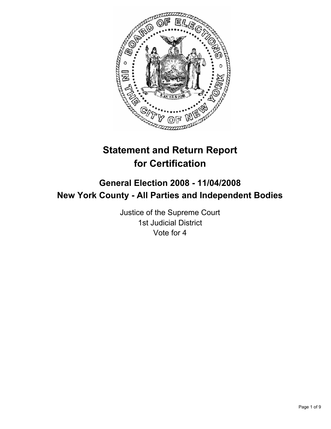

# **Statement and Return Report for Certification**

# **General Election 2008 - 11/04/2008 New York County - All Parties and Independent Bodies**

Justice of the Supreme Court 1st Judicial District Vote for 4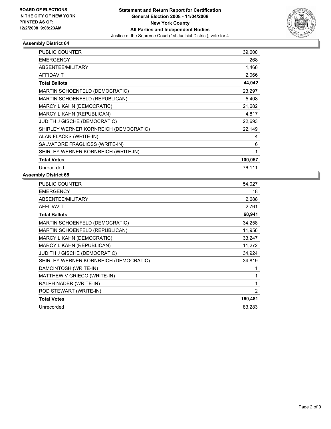

| <b>PUBLIC COUNTER</b>                 | 39,600  |  |
|---------------------------------------|---------|--|
| <b>EMERGENCY</b>                      | 268     |  |
| ABSENTEE/MILITARY                     | 1,468   |  |
| <b>AFFIDAVIT</b>                      | 2,066   |  |
| <b>Total Ballots</b>                  | 44,042  |  |
| MARTIN SCHOENFELD (DEMOCRATIC)        | 23,297  |  |
| <b>MARTIN SCHOENFELD (REPUBLICAN)</b> | 5,408   |  |
| <b>MARCY L KAHN (DEMOCRATIC)</b>      | 21,682  |  |
| MARCY L KAHN (REPUBLICAN)             | 4,817   |  |
| JUDITH J GISCHE (DEMOCRATIC)          | 22,693  |  |
| SHIRLEY WERNER KORNREICH (DEMOCRATIC) | 22,149  |  |
| ALAN FLACKS (WRITE-IN)                | 4       |  |
| SALVATORE FRAGLIOSS (WRITE-IN)        | 6       |  |
| SHIRLEY WERNER KORNREICH (WRITE-IN)   |         |  |
| <b>Total Votes</b>                    | 100,057 |  |
| Unrecorded                            | 76,111  |  |

| PUBLIC COUNTER                        | 54,027         |
|---------------------------------------|----------------|
| <b>EMERGENCY</b>                      | 18             |
| ABSENTEE/MILITARY                     | 2,688          |
| <b>AFFIDAVIT</b>                      | 2,761          |
| <b>Total Ballots</b>                  | 60,941         |
| MARTIN SCHOENFELD (DEMOCRATIC)        | 34,258         |
| MARTIN SCHOENFELD (REPUBLICAN)        | 11,956         |
| MARCY L KAHN (DEMOCRATIC)             | 33,247         |
| MARCY L KAHN (REPUBLICAN)             | 11,272         |
| JUDITH J GISCHE (DEMOCRATIC)          | 34,924         |
| SHIRLEY WERNER KORNREICH (DEMOCRATIC) | 34,819         |
| DAMCINTOSH (WRITE-IN)                 |                |
| MATTHEW V GRIECO (WRITE-IN)           |                |
| RALPH NADER (WRITE-IN)                |                |
| ROD STEWART (WRITE-IN)                | $\overline{2}$ |
| <b>Total Votes</b>                    | 160,481        |
| Unrecorded                            | 83,283         |
|                                       |                |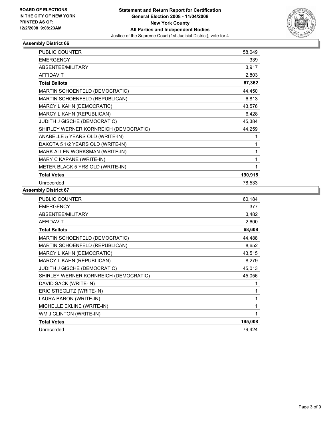

| <b>PUBLIC COUNTER</b>                 | 58,049  |
|---------------------------------------|---------|
| <b>EMERGENCY</b>                      | 339     |
| ABSENTEE/MILITARY                     | 3,917   |
| <b>AFFIDAVIT</b>                      | 2,803   |
| <b>Total Ballots</b>                  | 67,362  |
| MARTIN SCHOENFELD (DEMOCRATIC)        | 44,450  |
| MARTIN SCHOENFELD (REPUBLICAN)        | 6,813   |
| MARCY L KAHN (DEMOCRATIC)             | 43,576  |
| MARCY L KAHN (REPUBLICAN)             | 6,428   |
| JUDITH J GISCHE (DEMOCRATIC)          | 45,384  |
| SHIRLEY WERNER KORNREICH (DEMOCRATIC) | 44,259  |
| ANABELLE 5 YEARS OLD (WRITE-IN)       |         |
| DAKOTA 5 1/2 YEARS OLD (WRITE-IN)     |         |
| MARK ALLEN WORKSMAN (WRITE-IN)        |         |
| MARY C KAPANE (WRITE-IN)              |         |
| METER BLACK 5 YRS OLD (WRITE-IN)      |         |
| <b>Total Votes</b>                    | 190,915 |
| Unrecorded                            | 78,533  |

| PUBLIC COUNTER                        | 60,184  |
|---------------------------------------|---------|
| <b>EMERGENCY</b>                      | 377     |
| ABSENTEE/MILITARY                     | 3,482   |
| <b>AFFIDAVIT</b>                      | 2,600   |
| <b>Total Ballots</b>                  | 68,608  |
| MARTIN SCHOENFELD (DEMOCRATIC)        | 44,488  |
| MARTIN SCHOENFELD (REPUBLICAN)        | 8,652   |
| MARCY L KAHN (DEMOCRATIC)             | 43,515  |
| MARCY L KAHN (REPUBLICAN)             | 8,279   |
| JUDITH J GISCHE (DEMOCRATIC)          | 45,013  |
| SHIRLEY WERNER KORNREICH (DEMOCRATIC) | 45,056  |
| DAVID SACK (WRITE-IN)                 |         |
| ERIC STIEGLITZ (WRITE-IN)             |         |
| LAURA BARON (WRITE-IN)                |         |
| MICHELLE EXLINE (WRITE-IN)            |         |
| WM J CLINTON (WRITE-IN)               |         |
| <b>Total Votes</b>                    | 195,008 |
| Unrecorded                            | 79,424  |
|                                       |         |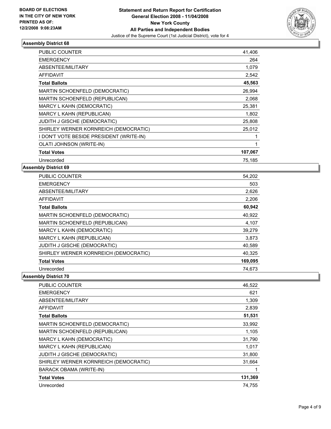

| PUBLIC COUNTER                           | 41,406  |
|------------------------------------------|---------|
| <b>EMERGENCY</b>                         | 264     |
| ABSENTEE/MILITARY                        | 1,079   |
| <b>AFFIDAVIT</b>                         | 2,542   |
| <b>Total Ballots</b>                     | 45,563  |
| MARTIN SCHOENFELD (DEMOCRATIC)           | 26,994  |
| MARTIN SCHOENFELD (REPUBLICAN)           | 2,068   |
| MARCY L KAHN (DEMOCRATIC)                | 25,381  |
| MARCY L KAHN (REPUBLICAN)                | 1,802   |
| JUDITH J GISCHE (DEMOCRATIC)             | 25,808  |
| SHIRLEY WERNER KORNREICH (DEMOCRATIC)    | 25,012  |
| I DON'T VOTE BESIDE PRESIDENT (WRITE-IN) |         |
| OLATI JOHNSON (WRITE-IN)                 |         |
| <b>Total Votes</b>                       | 107,067 |
| Unrecorded                               | 75,185  |

### **Assembly District 69**

| <b>PUBLIC COUNTER</b>                 | 54,202  |
|---------------------------------------|---------|
| <b>EMERGENCY</b>                      | 503     |
| ABSENTEE/MILITARY                     | 2,626   |
| AFFIDAVIT                             | 2,206   |
| <b>Total Ballots</b>                  | 60,942  |
| MARTIN SCHOENFELD (DEMOCRATIC)        | 40,922  |
| MARTIN SCHOENFELD (REPUBLICAN)        | 4,107   |
| MARCY L KAHN (DEMOCRATIC)             | 39,279  |
| MARCY L KAHN (REPUBLICAN)             | 3,873   |
| JUDITH J GISCHE (DEMOCRATIC)          | 40,589  |
| SHIRLEY WERNER KORNREICH (DEMOCRATIC) | 40.325  |
| <b>Total Votes</b>                    | 169,095 |
| Unrecorded                            | 74,673  |

| 621<br>1,309<br>2,839<br>51,531<br>33,992<br>1,105<br>31,790<br>1,017<br>31,800<br>31,664<br>131,369 | <b>PUBLIC COUNTER</b>                 | 46,522 |
|------------------------------------------------------------------------------------------------------|---------------------------------------|--------|
|                                                                                                      | <b>EMERGENCY</b>                      |        |
|                                                                                                      | ABSENTEE/MILITARY                     |        |
|                                                                                                      | <b>AFFIDAVIT</b>                      |        |
|                                                                                                      | <b>Total Ballots</b>                  |        |
|                                                                                                      | <b>MARTIN SCHOENFELD (DEMOCRATIC)</b> |        |
|                                                                                                      | MARTIN SCHOENFELD (REPUBLICAN)        |        |
|                                                                                                      | MARCY L KAHN (DEMOCRATIC)             |        |
|                                                                                                      | MARCY L KAHN (REPUBLICAN)             |        |
|                                                                                                      | JUDITH J GISCHE (DEMOCRATIC)          |        |
|                                                                                                      | SHIRLEY WERNER KORNREICH (DEMOCRATIC) |        |
|                                                                                                      | <b>BARACK OBAMA (WRITE-IN)</b>        |        |
|                                                                                                      | <b>Total Votes</b>                    |        |
|                                                                                                      | Unrecorded                            | 74,755 |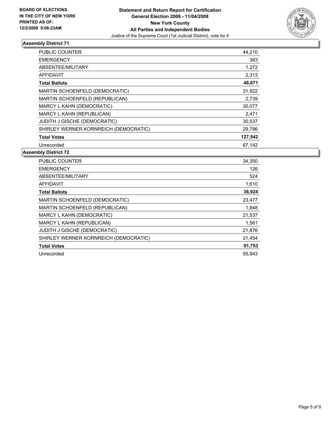

| <b>PUBLIC COUNTER</b>                 | 44,210  |
|---------------------------------------|---------|
| <b>EMERGENCY</b>                      | 383     |
| ABSENTEE/MILITARY                     | 1,272   |
| AFFIDAVIT                             | 2,313   |
| <b>Total Ballots</b>                  | 48,671  |
| <b>MARTIN SCHOENFELD (DEMOCRATIC)</b> | 31,922  |
| MARTIN SCHOENFELD (REPUBLICAN)        | 2,739   |
| MARCY L KAHN (DEMOCRATIC)             | 30,077  |
| MARCY L KAHN (REPUBLICAN)             | 2,471   |
| JUDITH J GISCHE (DEMOCRATIC)          | 30,537  |
| SHIRLEY WERNER KORNREICH (DEMOCRATIC) | 29,796  |
| <b>Total Votes</b>                    | 127,542 |
| Unrecorded                            | 67,142  |

| <b>PUBLIC COUNTER</b>                 | 34,350 |
|---------------------------------------|--------|
| <b>EMERGENCY</b>                      | 126    |
| ABSENTEE/MILITARY                     | 524    |
| AFFIDAVIT                             | 1,610  |
| <b>Total Ballots</b>                  | 36,924 |
| MARTIN SCHOENFELD (DEMOCRATIC)        | 23,477 |
| MARTIN SCHOENFELD (REPUBLICAN)        | 1,848  |
| MARCY L KAHN (DEMOCRATIC)             | 21,537 |
| MARCY L KAHN (REPUBLICAN)             | 1,561  |
| JUDITH J GISCHE (DEMOCRATIC)          | 21,876 |
| SHIRLEY WERNER KORNREICH (DEMOCRATIC) | 21,454 |
| <b>Total Votes</b>                    | 91,753 |
| Unrecorded                            | 55.943 |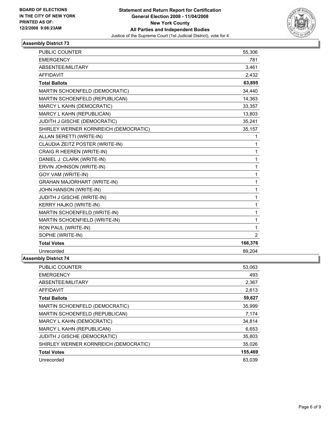

| <b>PUBLIC COUNTER</b>                 | 55,306         |
|---------------------------------------|----------------|
| <b>EMERGENCY</b>                      | 781            |
| ABSENTEE/MILITARY                     | 3,461          |
| <b>AFFIDAVIT</b>                      | 2,432          |
| <b>Total Ballots</b>                  | 63,895         |
| MARTIN SCHOENFELD (DEMOCRATIC)        | 34,440         |
| MARTIN SCHOENFELD (REPUBLICAN)        | 14,363         |
| MARCY L KAHN (DEMOCRATIC)             | 33,357         |
| MARCY L KAHN (REPUBLICAN)             | 13,803         |
| JUDITH J GISCHE (DEMOCRATIC)          | 35,241         |
| SHIRLEY WERNER KORNREICH (DEMOCRATIC) | 35,157         |
| ALLAN SERETTI (WRITE-IN)              |                |
| CLAUDIA ZEITZ POSTER (WRITE-IN)       | 1              |
| CRAIG R HEEREN (WRITE-IN)             | 1              |
| DANIEL J. CLARK (WRITE-IN)            | 1              |
| ERVIN JOHNSON (WRITE-IN)              | 1              |
| GOY VAM (WRITE-IN)                    | 1              |
| <b>GRAHAN MAJORHART (WRITE-IN)</b>    | 1              |
| JOHN HANSON (WRITE-IN)                | 1              |
| JUDITH J GISCHE (WRITE-IN)            | 1              |
| KERRY HAJKO (WRITE-IN)                | 1              |
| MARTIN SCHOENFELD (WRITE-IN)          |                |
| MARTIN SCHOENFIELD (WRITE-IN)         | 1              |
| RON PAUL (WRITE-IN)                   | 1              |
| SOPHE (WRITE-IN)                      | $\overline{2}$ |
| <b>Total Votes</b>                    | 166,376        |
| Unrecorded                            | 89,204         |

PUBLIC COUNTER 53,063 EMERGENCY 493 ABSENTEE/MILITARY 2,367

**Total Ballots 59,627**  MARTIN SCHOENFELD (DEMOCRATIC) 35,999 MARTIN SCHOENFELD (REPUBLICAN) 7,174 MARCY L KAHN (DEMOCRATIC) 34,814 MARCY L KAHN (REPUBLICAN) 6,653 JUDITH J GISCHE (DEMOCRATIC) 35,803 SHIRLEY WERNER KORNREICH (DEMOCRATIC) 35,026

AFFIDAVIT 2,613

**Total Votes 155,469**  Unrecorded 83,039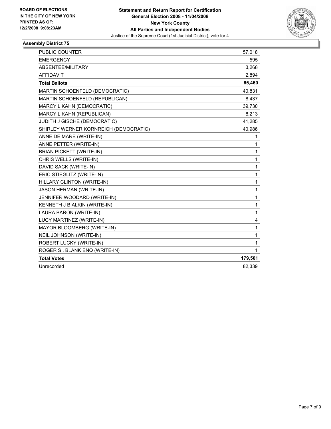

| PUBLIC COUNTER                        | 57,018  |
|---------------------------------------|---------|
| <b>EMERGENCY</b>                      | 595     |
| ABSENTEE/MILITARY                     | 3,268   |
| <b>AFFIDAVIT</b>                      | 2,894   |
| <b>Total Ballots</b>                  | 65,460  |
| MARTIN SCHOENFELD (DEMOCRATIC)        | 40,831  |
| MARTIN SCHOENFELD (REPUBLICAN)        | 8,437   |
| MARCY L KAHN (DEMOCRATIC)             | 39,730  |
| MARCY L KAHN (REPUBLICAN)             | 8,213   |
| JUDITH J GISCHE (DEMOCRATIC)          | 41,285  |
| SHIRLEY WERNER KORNREICH (DEMOCRATIC) | 40,986  |
| ANNE DE MARE (WRITE-IN)               | 1       |
| ANNE PETTER (WRITE-IN)                | 1       |
| <b>BRIAN PICKETT (WRITE-IN)</b>       | 1       |
| CHRIS WELLS (WRITE-IN)                | 1       |
| DAVID SACK (WRITE-IN)                 | 1       |
| ERIC STIEGLITZ (WRITE-IN)             | 1       |
| HILLARY CLINTON (WRITE-IN)            | 1       |
| <b>JASON HERMAN (WRITE-IN)</b>        | 1       |
| JENNIFER WOODARD (WRITE-IN)           | 1       |
| KENNETH J BIALKIN (WRITE-IN)          | 1       |
| LAURA BARON (WRITE-IN)                | 1       |
| LUCY MARTINEZ (WRITE-IN)              | 4       |
| MAYOR BLOOMBERG (WRITE-IN)            | 1       |
| NEIL JOHNSON (WRITE-IN)               | 1       |
| ROBERT LUCKY (WRITE-IN)               | 1       |
| ROGER S. BLANK ENQ (WRITE-IN)         | 1       |
| <b>Total Votes</b>                    | 179,501 |
| Unrecorded                            | 82,339  |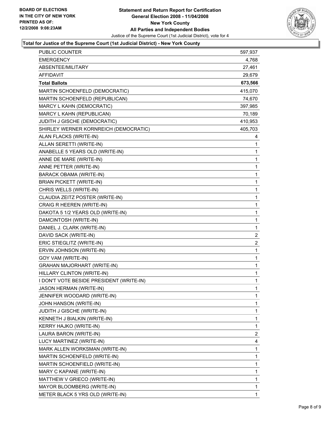

# **Total for Justice of the Supreme Court (1st Judicial District) - New York County**

| PUBLIC COUNTER                           | 597,937                 |
|------------------------------------------|-------------------------|
| EMERGENCY                                | 4,768                   |
| ABSENTEE/MILITARY                        | 27,461                  |
| AFFIDAVIT                                | 29,679                  |
| <b>Total Ballots</b>                     | 673,566                 |
| MARTIN SCHOENFELD (DEMOCRATIC)           | 415,070                 |
| MARTIN SCHOENFELD (REPUBLICAN)           | 74,670                  |
| MARCY L KAHN (DEMOCRATIC)                | 397,985                 |
| MARCY L KAHN (REPUBLICAN)                | 70,189                  |
| JUDITH J GISCHE (DEMOCRATIC)             | 410,953                 |
| SHIRLEY WERNER KORNREICH (DEMOCRATIC)    | 405,703                 |
| ALAN FLACKS (WRITE-IN)                   | 4                       |
| ALLAN SERETTI (WRITE-IN)                 | 1                       |
| ANABELLE 5 YEARS OLD (WRITE-IN)          | 1                       |
| ANNE DE MARE (WRITE-IN)                  | 1                       |
| ANNE PETTER (WRITE-IN)                   | 1                       |
| <b>BARACK OBAMA (WRITE-IN)</b>           | 1                       |
| <b>BRIAN PICKETT (WRITE-IN)</b>          | 1                       |
| CHRIS WELLS (WRITE-IN)                   | 1                       |
| CLAUDIA ZEITZ POSTER (WRITE-IN)          | 1                       |
| CRAIG R HEEREN (WRITE-IN)                | 1                       |
| DAKOTA 5 1/2 YEARS OLD (WRITE-IN)        | 1                       |
| DAMCINTOSH (WRITE-IN)                    | 1                       |
| DANIEL J. CLARK (WRITE-IN)               | $\mathbf{1}$            |
| DAVID SACK (WRITE-IN)                    | $\overline{\mathbf{c}}$ |
| ERIC STIEGLITZ (WRITE-IN)                | $\boldsymbol{2}$        |
| ERVIN JOHNSON (WRITE-IN)                 | 1                       |
| GOY VAM (WRITE-IN)                       | 1                       |
| <b>GRAHAN MAJORHART (WRITE-IN)</b>       | 1                       |
| HILLARY CLINTON (WRITE-IN)               | 1                       |
| I DON'T VOTE BESIDE PRESIDENT (WRITE-IN) | 1                       |
| JASON HERMAN (WRITE-IN)                  | 1                       |
| JENNIFER WOODARD (WRITE-IN)              | 1                       |
| JOHN HANSON (WRITE-IN)                   | 1                       |
| JUDITH J GISCHE (WRITE-IN)               | 1                       |
| KENNETH J BIALKIN (WRITE-IN)             | 1                       |
| KERRY HAJKO (WRITE-IN)                   | 1                       |
| LAURA BARON (WRITE-IN)                   | $\boldsymbol{2}$        |
| LUCY MARTINEZ (WRITE-IN)                 | 4                       |
| MARK ALLEN WORKSMAN (WRITE-IN)           | 1                       |
| MARTIN SCHOENFELD (WRITE-IN)             | 1                       |
| MARTIN SCHOENFIELD (WRITE-IN)            | 1                       |
| MARY C KAPANE (WRITE-IN)                 | 1                       |
| MATTHEW V GRIECO (WRITE-IN)              | 1                       |
| MAYOR BLOOMBERG (WRITE-IN)               | 1                       |
| METER BLACK 5 YRS OLD (WRITE-IN)         | 1                       |
|                                          |                         |